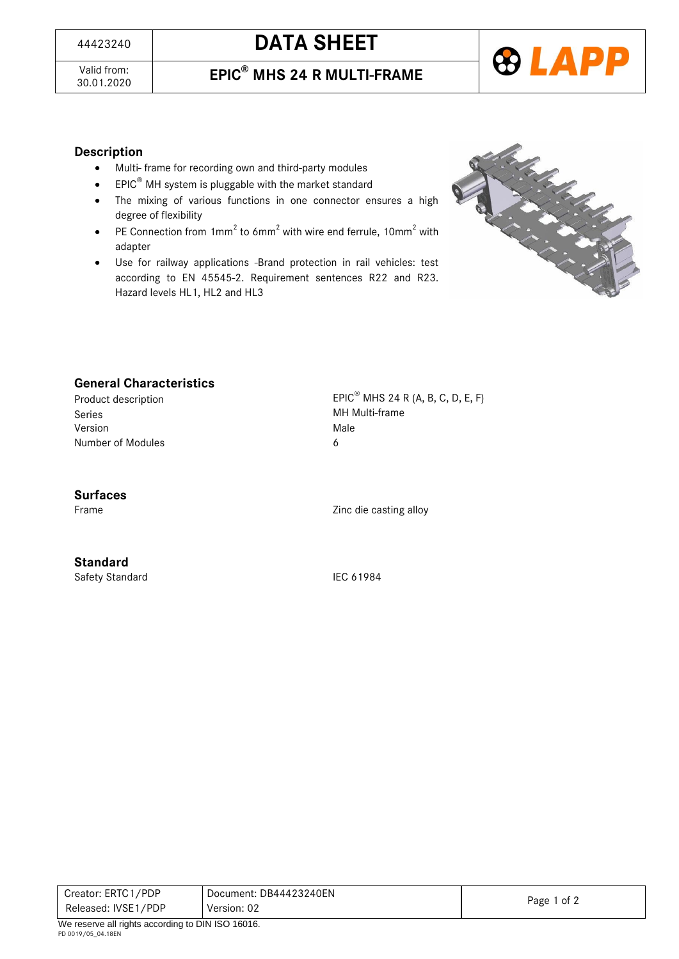# <sup>44423240</sup> **DATA SHEET**

Valid from:<br>30.01.2020

### 30.01.2020 **EPIC® MHS 24 R MULTI-FRAME**



### **Description**

- Multi- frame for recording own and third-party modules
- **•** EPIC<sup>®</sup> MH system is pluggable with the market standard
- The mixing of various functions in one connector ensures a high degree of flexibility
- PE Connection from  $1mm^2$  to 6mm<sup>2</sup> with wire end ferrule,  $10mm^2$  with adapter
- Use for railway applications -Brand protection in rail vehicles: test according to EN 45545-2. Requirement sentences R22 and R23. Hazard levels HL1, HL2 and HL3



### **General Characteristics**

Series **MH Multi-frame** Version Male Number of Modules 6

Product description EPIC<sup>®</sup> MHS 24 R (A, B, C, D, E, F)

### **Surfaces**

Frame Zinc die casting alloy

**Standard**

Safety Standard IEC 61984

| Released: IVSE1/PDP | Version: 02            | Page 1 of 2 |
|---------------------|------------------------|-------------|
| Creator: ERTC1/PDP  | Document: DB44423240EN |             |